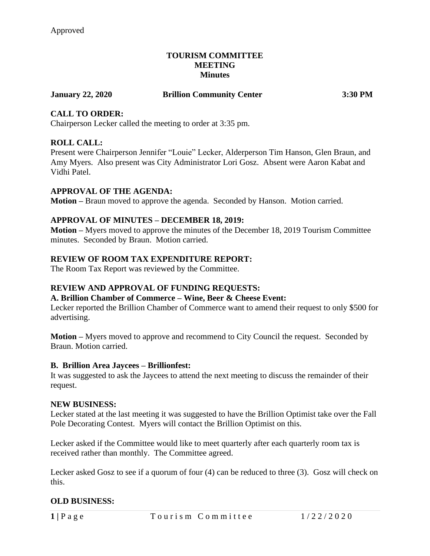#### **TOURISM COMMITTEE MEETING Minutes**

## **January 22, 2020 Brillion Community Center 3:30 PM**

# **CALL TO ORDER:**

Chairperson Lecker called the meeting to order at 3:35 pm.

# **ROLL CALL:**

Present were Chairperson Jennifer "Louie" Lecker, Alderperson Tim Hanson, Glen Braun, and Amy Myers. Also present was City Administrator Lori Gosz. Absent were Aaron Kabat and Vidhi Patel.

## **APPROVAL OF THE AGENDA:**

**Motion –** Braun moved to approve the agenda. Seconded by Hanson. Motion carried.

## **APPROVAL OF MINUTES – DECEMBER 18, 2019:**

**Motion –** Myers moved to approve the minutes of the December 18, 2019 Tourism Committee minutes. Seconded by Braun. Motion carried.

# **REVIEW OF ROOM TAX EXPENDITURE REPORT:**

The Room Tax Report was reviewed by the Committee.

# **REVIEW AND APPROVAL OF FUNDING REQUESTS:**

#### **A. Brillion Chamber of Commerce – Wine, Beer & Cheese Event:**

Lecker reported the Brillion Chamber of Commerce want to amend their request to only \$500 for advertising.

**Motion –** Myers moved to approve and recommend to City Council the request. Seconded by Braun. Motion carried.

#### **B. Brillion Area Jaycees – Brillionfest:**

It was suggested to ask the Jaycees to attend the next meeting to discuss the remainder of their request.

#### **NEW BUSINESS:**

Lecker stated at the last meeting it was suggested to have the Brillion Optimist take over the Fall Pole Decorating Contest. Myers will contact the Brillion Optimist on this.

Lecker asked if the Committee would like to meet quarterly after each quarterly room tax is received rather than monthly. The Committee agreed.

Lecker asked Gosz to see if a quorum of four (4) can be reduced to three (3). Gosz will check on this.

# **OLD BUSINESS:**